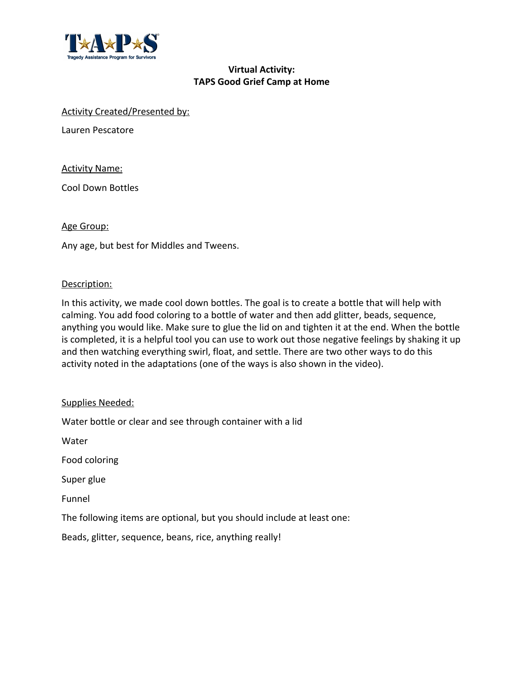

# **Virtual Activity: TAPS Good Grief Camp at Home**

#### Activity Created/Presented by:

Lauren Pescatore

Activity Name:

Cool Down Bottles

#### Age Group:

Any age, but best for Middles and Tweens.

### Description:

In this activity, we made cool down bottles. The goal is to create a bottle that will help with calming. You add food coloring to a bottle of water and then add glitter, beads, sequence, anything you would like. Make sure to glue the lid on and tighten it at the end. When the bottle is completed, it is a helpful tool you can use to work out those negative feelings by shaking it up and then watching everything swirl, float, and settle. There are two other ways to do this activity noted in the adaptations (one of the ways is also shown in the video).

### Supplies Needed:

Water bottle or clear and see through container with a lid

Water

Food coloring

Super glue

Funnel

The following items are optional, but you should include at least one:

Beads, glitter, sequence, beans, rice, anything really!